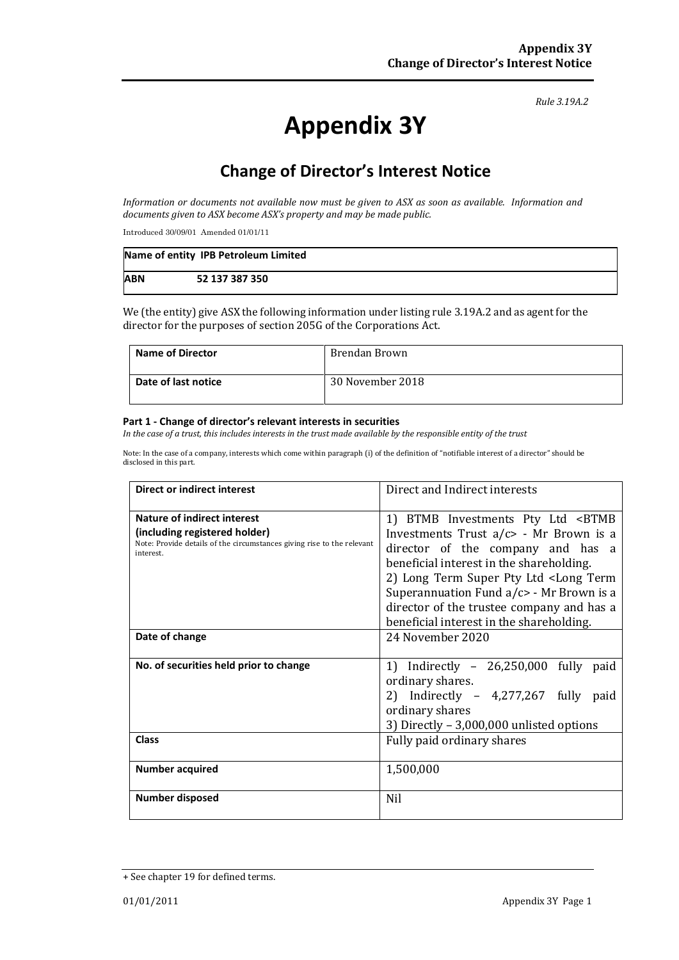*Rule 3.19A.2*

# **Appendix 3Y**

# **Change of Director's Interest Notice**

*Information or documents not available now must be given to ASX as soon as available. Information and documents given to ASX become ASX's property and may be made public.*

Introduced 30/09/01 Amended 01/01/11

|            | Name of entity IPB Petroleum Limited |
|------------|--------------------------------------|
| <b>ABN</b> | 52 137 387 350                       |

We (the entity) give ASX the following information under listing rule 3.19A.2 and as agent for the director for the purposes of section 205G of the Corporations Act.

| Name of Director    | Brendan Brown    |
|---------------------|------------------|
| Date of last notice | 30 November 2018 |

#### **Part 1 - Change of director's relevant interests in securities**

*In the case of a trust, this includes interests in the trust made available by the responsible entity of the trust*

Note: In the case of a company, interests which come within paragraph (i) of the definition of "notifiable interest of a director" should be disclosed in this part.

| <b>Direct or indirect interest</b>                                                                                                                  | Direct and Indirect interests                                                                                                                                                                                                                                                           |  |
|-----------------------------------------------------------------------------------------------------------------------------------------------------|-----------------------------------------------------------------------------------------------------------------------------------------------------------------------------------------------------------------------------------------------------------------------------------------|--|
| Nature of indirect interest<br>(including registered holder)<br>Note: Provide details of the circumstances giving rise to the relevant<br>interest. | 1) BTMB Investments Pty Ltd <btmb<br>Investments Trust a/c&gt; - Mr Brown is a<br/>director of the company and has a<br/>beneficial interest in the shareholding.<br/>2) Long Term Super Pty Ltd <long term<br="">Superannuation Fund <math>a/c</math> - Mr Brown is a</long></btmb<br> |  |
|                                                                                                                                                     | director of the trustee company and has a<br>beneficial interest in the shareholding.                                                                                                                                                                                                   |  |
| Date of change                                                                                                                                      | 24 November 2020                                                                                                                                                                                                                                                                        |  |
| No. of securities held prior to change                                                                                                              | 1) Indirectly $-26,250,000$ fully paid<br>ordinary shares.                                                                                                                                                                                                                              |  |
|                                                                                                                                                     | 2) Indirectly - $4,277,267$ fully paid<br>ordinary shares<br>3) Directly $-3,000,000$ unlisted options                                                                                                                                                                                  |  |
| <b>Class</b>                                                                                                                                        | Fully paid ordinary shares                                                                                                                                                                                                                                                              |  |
| <b>Number acquired</b>                                                                                                                              | 1,500,000                                                                                                                                                                                                                                                                               |  |
| Number disposed                                                                                                                                     | <b>Nil</b>                                                                                                                                                                                                                                                                              |  |

<sup>+</sup> See chapter 19 for defined terms.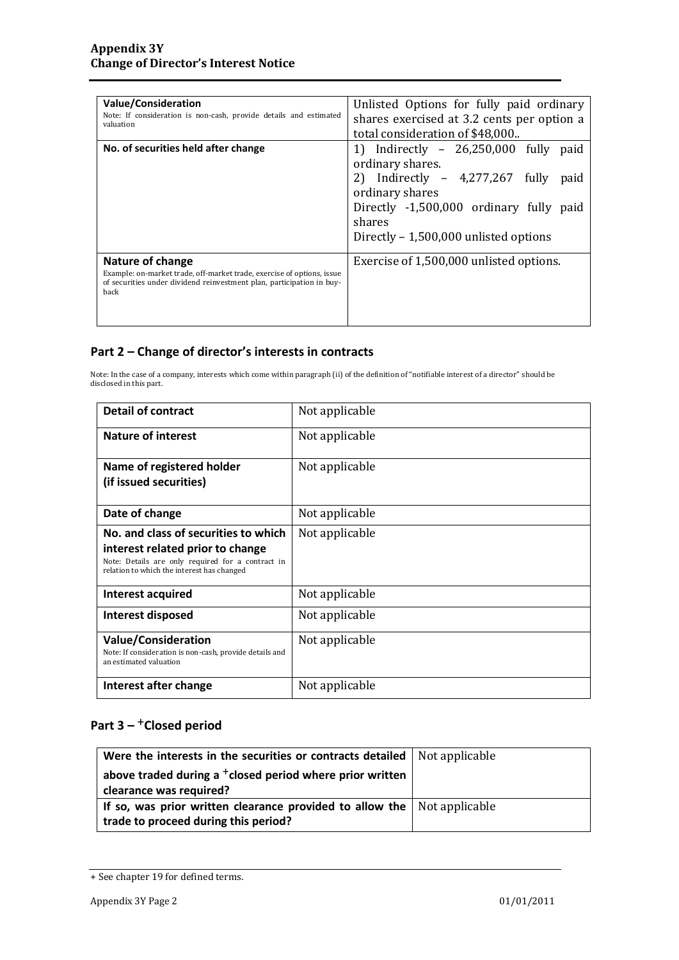| <b>Value/Consideration</b><br>Note: If consideration is non-cash, provide details and estimated<br>valuation                                                                | Unlisted Options for fully paid ordinary<br>shares exercised at 3.2 cents per option a<br>total consideration of \$48,000                                                                                                   |
|-----------------------------------------------------------------------------------------------------------------------------------------------------------------------------|-----------------------------------------------------------------------------------------------------------------------------------------------------------------------------------------------------------------------------|
| No. of securities held after change                                                                                                                                         | 1) Indirectly - 26,250,000 fully<br>paid<br>ordinary shares.<br>2) Indirectly - 4,277,267 fully<br>paid<br>ordinary shares<br>Directly -1,500,000 ordinary fully<br>paid<br>shares<br>Directly - 1,500,000 unlisted options |
| Nature of change<br>Example: on-market trade, off-market trade, exercise of options, issue<br>of securities under dividend reinvestment plan, participation in buy-<br>back | Exercise of 1,500,000 unlisted options.                                                                                                                                                                                     |

### **Part 2 – Change of director's interests in contracts**

Note: In the case of a company, interests which come within paragraph (ii) of the definition of "notifiable interest of a director" should be disclosed in this part.

| <b>Detail of contract</b>                                                                                                                                                   | Not applicable |
|-----------------------------------------------------------------------------------------------------------------------------------------------------------------------------|----------------|
| <b>Nature of interest</b>                                                                                                                                                   | Not applicable |
| Name of registered holder<br>(if issued securities)                                                                                                                         | Not applicable |
| Date of change                                                                                                                                                              | Not applicable |
| No. and class of securities to which<br>interest related prior to change<br>Note: Details are only required for a contract in<br>relation to which the interest has changed | Not applicable |
| Interest acquired                                                                                                                                                           | Not applicable |
| Interest disposed                                                                                                                                                           | Not applicable |
| <b>Value/Consideration</b><br>Note: If consideration is non-cash, provide details and<br>an estimated valuation                                                             | Not applicable |
| Interest after change                                                                                                                                                       | Not applicable |

## **Part 3 –** +**Closed period**

| Were the interests in the securities or contracts detailed                                                              | Not applicable |
|-------------------------------------------------------------------------------------------------------------------------|----------------|
| above traded during a <sup>+</sup> closed period where prior written<br>clearance was required?                         |                |
| If so, was prior written clearance provided to allow the $\vert$ Not applicable<br>trade to proceed during this period? |                |

<sup>+</sup> See chapter 19 for defined terms.